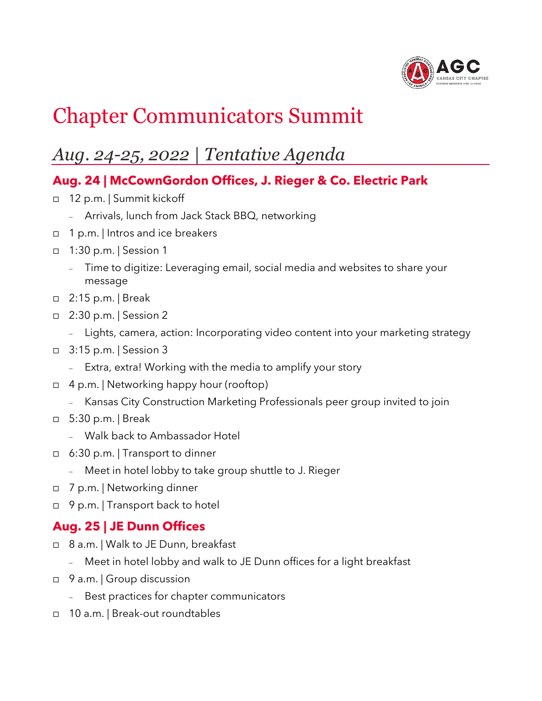

## Chapter Communicators Summit

## *Aug. 24-25, 2022 | Tentative Agenda*

## **Aug. 24 | McCownGordon Offices, J. Rieger & Co. Electric Park**

- □ 12 p.m. | Summit kickoff
	- <sup>−</sup> Arrivals, lunch from Jack Stack BBQ, networking
- □ 1 p.m. | Intros and ice breakers
- 1:30 p.m. | Session 1
	- <sup>−</sup> Time to digitize: Leveraging email, social media and websites to share your message
- 2:15 p.m. | Break
- □ 2:30 p.m. | Session 2
	- <sup>−</sup> Lights, camera, action: Incorporating video content into your marketing strategy
- □ 3:15 p.m. | Session 3
	- <sup>−</sup> Extra, extra! Working with the media to amplify your story
- $\Box$  4 p.m. | Networking happy hour (rooftop)
	- <sup>−</sup> Kansas City Construction Marketing Professionals peer group invited to join
- 5:30 p.m. | Break
	- <sup>−</sup> Walk back to Ambassador Hotel
- 6:30 p.m. | Transport to dinner
	- <sup>−</sup> Meet in hotel lobby to take group shuttle to J. Rieger
- 7 p.m. | Networking dinner
- □ 9 p.m. | Transport back to hotel

## **Aug. 25 | JE Dunn Offices**

- 8 a.m. | Walk to JE Dunn, breakfast
	- <sup>−</sup> Meet in hotel lobby and walk to JE Dunn offices for a light breakfast
- □ 9 a.m. | Group discussion
	- Best practices for chapter communicators
- □ 10 a.m. | Break-out roundtables